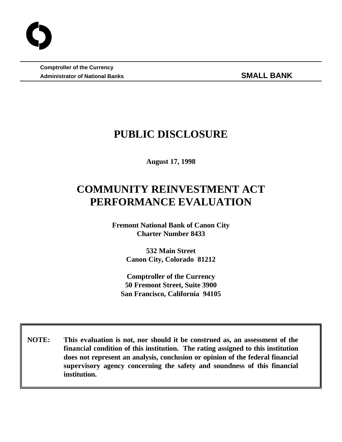**Comptroller of the Currency** Administrator of National Banks **SMALL BANK** 

# **PUBLIC DISCLOSURE**

**August 17, 1998**

# **COMMUNITY REINVESTMENT ACT PERFORMANCE EVALUATION**

**Fremont National Bank of Canon City Charter Number 8433**

> **532 Main Street Canon City, Colorado 81212**

**Comptroller of the Currency 50 Fremont Street, Suite 3900 San Francisco, California 94105**

 **NOTE: This evaluation is not, nor should it be construed as, an assessment of the financial condition of this institution. The rating assigned to this institution does not represent an analysis, conclusion or opinion of the federal financial supervisory agency concerning the safety and soundness of this financial institution.**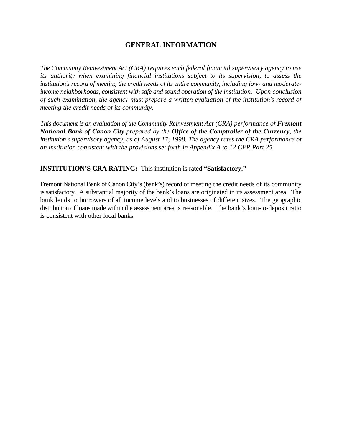## **GENERAL INFORMATION**

*The Community Reinvestment Act (CRA) requires each federal financial supervisory agency to use its authority when examining financial institutions subject to its supervision, to assess the institution's record of meeting the credit needs of its entire community, including low- and moderateincome neighborhoods, consistent with safe and sound operation of the institution. Upon conclusion of such examination, the agency must prepare a written evaluation of the institution's record of meeting the credit needs of its community.* 

*This document is an evaluation of the Community Reinvestment Act (CRA) performance of Fremont National Bank of Canon City prepared by the Office of the Comptroller of the Currency, the institution's supervisory agency, as of August 17, 1998. The agency rates the CRA performance of an institution consistent with the provisions set forth in Appendix A to 12 CFR Part 25.*

## **INSTITUTION'S CRA RATING:** This institution is rated **"Satisfactory."**

Fremont National Bank of Canon City's (bank's) record of meeting the credit needs of its community is satisfactory. A substantial majority of the bank's loans are originated in its assessment area. The bank lends to borrowers of all income levels and to businesses of different sizes. The geographic distribution of loans made within the assessment area is reasonable. The bank's loan-to-deposit ratio is consistent with other local banks.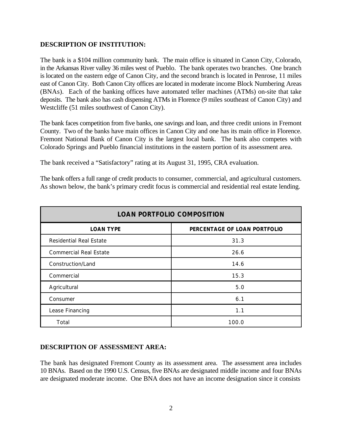#### **DESCRIPTION OF INSTITUTION:**

The bank is a \$104 million community bank. The main office is situated in Canon City, Colorado, in the Arkansas River valley 36 miles west of Pueblo. The bank operates two branches. One branch is located on the eastern edge of Canon City, and the second branch is located in Penrose, 11 miles east of Canon City. Both Canon City offices are located in moderate income Block Numbering Areas (BNAs). Each of the banking offices have automated teller machines (ATMs) on-site that take deposits. The bank also has cash dispensing ATMs in Florence (9 miles southeast of Canon City) and Westcliffe (51 miles southwest of Canon City).

The bank faces competition from five banks, one savings and loan, and three credit unions in Fremont County. Two of the banks have main offices in Canon City and one has its main office in Florence. Fremont National Bank of Canon City is the largest local bank. The bank also competes with Colorado Springs and Pueblo financial institutions in the eastern portion of its assessment area.

The bank received a "Satisfactory" rating at its August 31, 1995, CRA evaluation.

The bank offers a full range of credit products to consumer, commercial, and agricultural customers. As shown below, the bank's primary credit focus is commercial and residential real estate lending.

| <b>LOAN PORTFOLIO COMPOSITION</b> |                              |  |  |  |
|-----------------------------------|------------------------------|--|--|--|
| <b>LOAN TYPE</b>                  | PERCENTAGE OF LOAN PORTFOLIO |  |  |  |
| Residential Real Estate           | 31.3                         |  |  |  |
| <b>Commercial Real Estate</b>     | 26.6                         |  |  |  |
| Construction/Land                 | 14.6                         |  |  |  |
| Commercial                        | 15.3                         |  |  |  |
| Agricultural                      | 5.0                          |  |  |  |
| Consumer                          | 6.1                          |  |  |  |
| Lease Financing                   | 1.1                          |  |  |  |
| Total                             | 100.0                        |  |  |  |

## **DESCRIPTION OF ASSESSMENT AREA:**

The bank has designated Fremont County as its assessment area. The assessment area includes 10 BNAs. Based on the 1990 U.S. Census, five BNAs are designated middle income and four BNAs are designated moderate income. One BNA does not have an income designation since it consists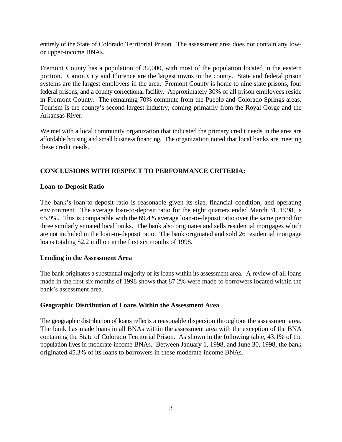entirely of the State of Colorado Territorial Prison. The assessment area does not contain any lowor upper-income BNAs.

Fremont County has a population of 32,000, with most of the population located in the eastern portion. Canon City and Florence are the largest towns in the county. State and federal prison systems are the largest employers in the area. Fremont County is home to nine state prisons, four federal prisons, and a county correctional facility. Approximately 30% of all prison employees reside in Fremont County. The remaining 70% commute from the Pueblo and Colorado Springs areas. Tourism is the county's second largest industry, coming primarily from the Royal Gorge and the Arkansas River.

We met with a local community organization that indicated the primary credit needs in the area are affordable housing and small business financing. The organization noted that local banks are meeting these credit needs.

## **CONCLUSIONS WITH RESPECT TO PERFORMANCE CRITERIA:**

#### **Loan-to-Deposit Ratio**

The bank's loan-to-deposit ratio is reasonable given its size, financial condition, and operating environment. The average loan-to-deposit ratio for the eight quarters ended March 31, 1998, is 65.9%. This is comparable with the 69.4% average loan-to-deposit ratio over the same period for three similarly situated local banks. The bank also originates and sells residential mortgages which are not included in the loan-to-deposit ratio. The bank originated and sold 26 residential mortgage loans totaling \$2.2 million in the first six months of 1998.

#### **Lending in the Assessment Area**

The bank originates a substantial majority of its loans within its assessment area. A review of all loans made in the first six months of 1998 shows that 87.2% were made to borrowers located within the bank's assessment area.

#### **Geographic Distribution of Loans Within the Assessment Area**

The geographic distribution of loans reflects a reasonable dispersion throughout the assessment area. The bank has made loans in all BNAs within the assessment area with the exception of the BNA containing the State of Colorado Territorial Prison. As shown in the following table, 43.1% of the population lives in moderate-income BNAs. Between January 1, 1998, and June 30, 1998, the bank originated 45.3% of its loans to borrowers in these moderate-income BNAs.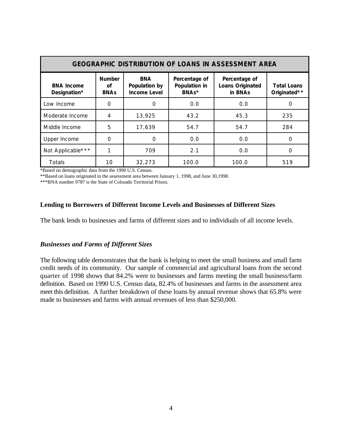| <b>GEOGRAPHIC DISTRIBUTION OF LOANS IN ASSESSMENT AREA</b> |                                    |                                                    |                                         |                                                     |                                    |  |  |  |
|------------------------------------------------------------|------------------------------------|----------------------------------------------------|-----------------------------------------|-----------------------------------------------------|------------------------------------|--|--|--|
| <b>BNA Income</b><br>Designation*                          | <b>Number</b><br>Οf<br><b>BNAs</b> | <b>BNA</b><br>Population by<br><b>Income Level</b> | Percentage of<br>Population in<br>BNAs* | Percentage of<br><b>Loans Originated</b><br>in BNAs | <b>Total Loans</b><br>Originated** |  |  |  |
| Low Income                                                 | Ω                                  | $\Omega$                                           | 0.0                                     | 0.0                                                 |                                    |  |  |  |
| Moderate Income                                            | 4                                  | 13,925                                             | 43.2                                    | 45.3                                                | 235                                |  |  |  |
| Middle Income                                              | 5                                  | 17,639                                             | 54.7                                    | 54.7                                                | 284                                |  |  |  |
| Upper Income                                               | 0                                  | 0                                                  | 0.0                                     | 0.0                                                 | Ω                                  |  |  |  |
| Not Applicable***                                          |                                    | 709                                                | 2.1                                     | 0.0                                                 | റ                                  |  |  |  |
| <b>Totals</b>                                              | 10                                 | 32,273                                             | 100.0                                   | 100.0                                               | 519                                |  |  |  |

\*Based on demographic data from the 1990 U.S. Census.

\*\*Based on loans originated in the assessment area between January 1, 1998, and June 30,1998.

\*\*\*BNA number 9787 is the State of Colorado Territorial Prison.

#### **Lending to Borrowers of Different Income Levels and Businesses of Different Sizes**

The bank lends to businesses and farms of different sizes and to individuals of all income levels.

#### *Businesses and Farms of Different Sizes*

The following table demonstrates that the bank is helping to meet the small business and small farm credit needs of its community. Our sample of commercial and agricultural loans from the second quarter of 1998 shows that 84.2% were to businesses and farms meeting the small business/farm definition. Based on 1990 U.S. Census data, 82.4% of businesses and farms in the assessment area meet this definition. A further breakdown of these loans by annual revenue shows that 65.8% were made to businesses and farms with annual revenues of less than \$250,000.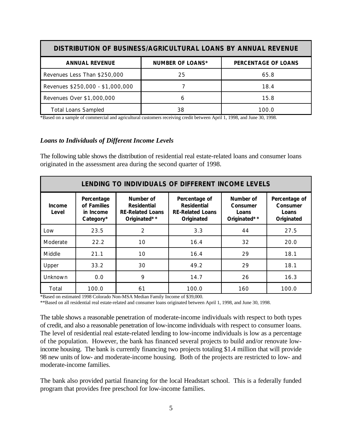| DISTRIBUTION OF BUSINESS/AGRICULTURAL LOANS BY ANNUAL REVENUE |                         |                     |  |  |  |  |
|---------------------------------------------------------------|-------------------------|---------------------|--|--|--|--|
| <b>ANNUAL REVENUE</b>                                         | <b>NUMBER OF LOANS*</b> | PERCENTAGE OF LOANS |  |  |  |  |
| Revenues Less Than \$250,000                                  | 25                      | 65.8                |  |  |  |  |
| Revenues \$250,000 - \$1,000,000                              |                         | 18.4                |  |  |  |  |
| Revenues Over \$1,000,000                                     | h                       | 15.8                |  |  |  |  |
| <b>Total Loans Sampled</b>                                    | 38                      | 100.0               |  |  |  |  |

\*Based on a sample of commercial and agricultural customers receiving credit between April 1, 1998, and June 30, 1998.

#### *Loans to Individuals of Different Income Levels*

The following table shows the distribution of residential real estate-related loans and consumer loans originated in the assessment area during the second quarter of 1998.

| LENDING TO INDIVIDUALS OF DIFFERENT INCOME LEVELS |                                                     |                                                                            |                                                                              |                                                |                                                  |  |  |
|---------------------------------------------------|-----------------------------------------------------|----------------------------------------------------------------------------|------------------------------------------------------------------------------|------------------------------------------------|--------------------------------------------------|--|--|
| Income<br>Level                                   | Percentage<br>of Families<br>in Income<br>Category* | Number of<br><b>Residential</b><br><b>RE-Related Loans</b><br>Originated** | Percentage of<br><b>Residential</b><br><b>RE-Related Loans</b><br>Originated | Number of<br>Consumer<br>Loans<br>Originated** | Percentage of<br>Consumer<br>Loans<br>Originated |  |  |
| Low                                               | 23.5                                                | $\overline{2}$                                                             | 3.3                                                                          | 44                                             | 27.5                                             |  |  |
| Moderate                                          | 22.2                                                | 10                                                                         | 16.4                                                                         | 32                                             | 20.0                                             |  |  |
| Middle                                            | 21.1                                                | 10                                                                         | 16.4                                                                         | 29                                             | 18.1                                             |  |  |
| Upper                                             | 33.2                                                | 30                                                                         | 49.2                                                                         | 29                                             | 18.1                                             |  |  |
| Unknown                                           | 0.0                                                 | 9                                                                          | 14.7                                                                         | 26                                             | 16.3                                             |  |  |
| Total                                             | 100.0                                               | 61                                                                         | 100.0                                                                        | 160                                            | 100.0                                            |  |  |

\*Based on estimated 1998 Colorado Non-MSA Median Family Income of \$39,000.

\*\*Based on all residential real estate-related and consumer loans originated between April 1, 1998, and June 30, 1998.

The table shows a reasonable penetration of moderate-income individuals with respect to both types of credit, and also a reasonable penetration of low-income individuals with respect to consumer loans. The level of residential real estate-related lending to low-income individuals is low as a percentage of the population. However, the bank has financed several projects to build and/or renovate lowincome housing. The bank is currently financing two projects totaling \$1.4 million that will provide 98 new units of low- and moderate-income housing. Both of the projects are restricted to low- and moderate-income families.

The bank also provided partial financing for the local Headstart school. This is a federally funded program that provides free preschool for low-income families.